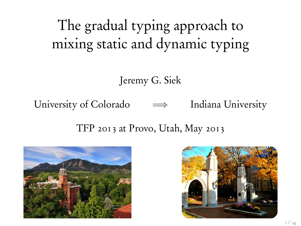# The gradual typing approach to mixing static and dynamic typing

Jeremy G. Siek

University of Colorado  $\implies$  Indiana University

TFP 2013 at Provo, Utah, May 2013



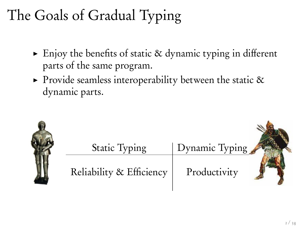# The Goals of Gradual Typing

- $\triangleright$  Enjoy the benefits of static & dynamic typing in different parts of the same program.
- $\triangleright$  Provide seamless interoperability between the static & dynamic parts.

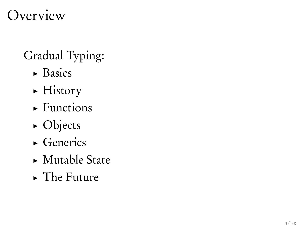## Overview

## Gradual Typing:

- $\triangleright$  Basics
- $\blacktriangleright$  History
- $\blacktriangleright$  Functions
- $\triangleright$  Objects
- $\triangleright$  Generics
- $\blacktriangleright$  Mutable State
- $\blacktriangleright$  The Future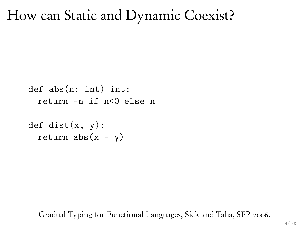#### How can Static and Dynamic Coexist?

```
def abs(n: int) int:
 return -n if n<0 else n
```

```
def dist(x, y):
 return abs(x - y)
```
1Gradual Typing for Functional Languages, Siek and Taha, SFP 2006.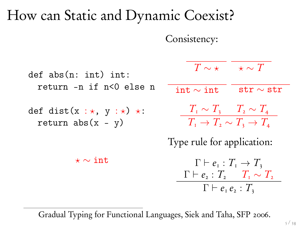## How can Static and Dynamic Coexist?

Consistency:

def abs(n: int) int: return -n if n<0 else n def dist(x : ?, y : ?) ?: return abs(x - y) ? ⇠ int *T* ⇠ ? ? ⇠ *T* int ⇠ int str ⇠ str *T*<sup>1</sup> ⇠ *T*<sup>3</sup> *T*<sup>2</sup> ⇠ *T*<sup>4</sup> *T*<sup>1</sup> ! *T*<sup>2</sup> ⇠ *T*<sup>3</sup> ! *T*<sup>4</sup> Type rule for application: ` *e*<sup>1</sup> : *T*<sup>1</sup> ! *T*<sup>3</sup> ` *e*<sup>2</sup> : *T*<sup>2</sup> *T*<sup>1</sup> ⇠ *T*<sup>2</sup> ` *e*<sup>1</sup> *e*<sup>2</sup> : *T*<sup>3</sup>

2Gradual Typing for Functional Languages, Siek and Taha, SFP 2006.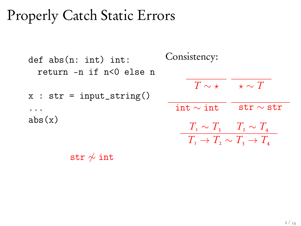## Properly Catch Static Errors

```
def abs(n: int) int:
    return -n if n<0 else n
x : str = input\_string()...
abs(x)Consistency:
                                                                              T \sim \star \quad \star \sim T\text{int} \sim \text{int} str \sim str
                                                                              T_{\text{\tiny I}} \sim T_{\text{\tiny 3}} T_{\text{\tiny 2}} \sim T_{\text{\tiny 4}}T_{\scriptscriptstyle{1}} \rightarrow T_{\scriptscriptstyle{2}} \sim T_{\scriptscriptstyle{3}} \rightarrow T_{\scriptscriptstyle{4}}
```
str  $\phi$  int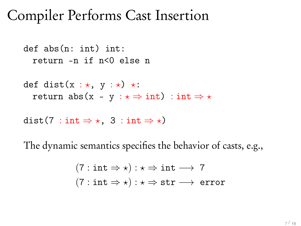## Compiler Performs Cast Insertion

def abs(n: int) int: return -n if n<0 else n

def dist(x :  $\star$ , y :  $\star$ )  $\star$ : return abs(x - y :  $\star \Rightarrow$  int) : int  $\Rightarrow \star$ 

dist(7 : int  $\Rightarrow \star$ , 3 : int  $\Rightarrow \star$ )

The dynamic semantics specifies the behavior of casts, e.g.,

$$
(7: \text{int} \Rightarrow \star): \star \Rightarrow \text{int} \longrightarrow 7
$$

$$
(7: \text{int} \Rightarrow \star): \star \Rightarrow \text{str} \longrightarrow \text{error}
$$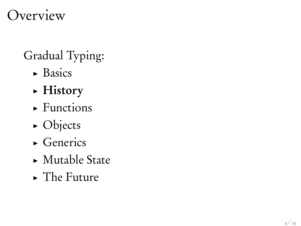## Overview

## Gradual Typing:

- $\triangleright$  Basics
- $\blacktriangleright$  History
- $\blacktriangleright$  Functions
- $\triangleright$  Objects
- $\triangleright$  Generics
- $\blacktriangleright$  Mutable State
- $\blacktriangleright$  The Future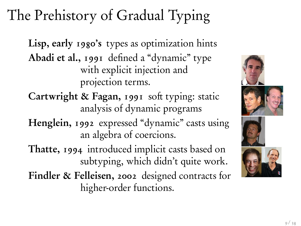# The Prehistory of Gradual Typing

Lisp, early 1980's types as optimization hints Abadi et al., 1991 defined a "dynamic" type with explicit injection and projection terms.

- Cartwright & Fagan, 1991 soft typing: static analysis of dynamic programs
- Henglein, 1992 expressed "dynamic" casts using an algebra of coercions.
- Thatte, 1994 introduced implicit casts based on subtyping, which didn't quite work.

Findler & Felleisen, 2002 designed contracts for higher-order functions.

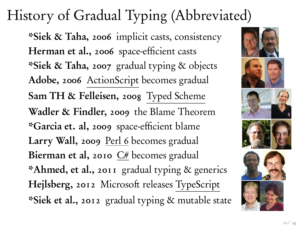# History of Gradual Typing (Abbreviated)

\*Siek & Taha, 2006 implicit casts, consistency Herman et al., 2006 space-efficient casts \*Siek & Taha, 2007 gradual typing & objects Adobe, 2006 ActionScript becomes gradual Sam TH & Felleisen, 2008 Typed Scheme Wadler & Findler, 2009 the Blame Theorem \*Garcia et. al, 2009 space-efficient blame Larry Wall, 2009 Perl 6 becomes gradual Bierman et al, 2010  $C#$  becomes gradual \*Ahmed, et al., 2011 gradual typing & generics Hejlsberg, 2012 Microsoft releases TypeScript \*Siek et al., 2012 gradual typing & mutable state

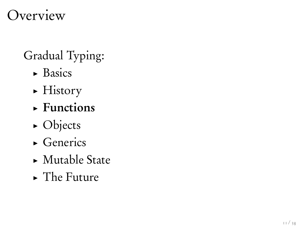## Overview

## Gradual Typing:

- $\triangleright$  Basics
- $\blacktriangleright$  History
- $\blacktriangleright$  Functions
- $\triangleright$  Objects
- $\triangleright$  Generics
- $\blacktriangleright$  Mutable State
- $\blacktriangleright$  The Future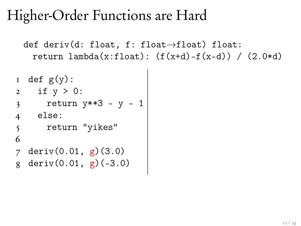## Higher-Order Functions are Hard

```
def deriv(d: float, f: float\rightarrowfloat) float:
  return lambda(x:float): (f(x+d)-f(x-d)) / (2.0*d)
```

```
I def g(y):
2 if y > 0:
3 return y**3 - y - 14 else:
5 return "yikes"
6
7 deriv(0.01, g)(3.0)
8 deriv(0.01, g)(-3.0)
```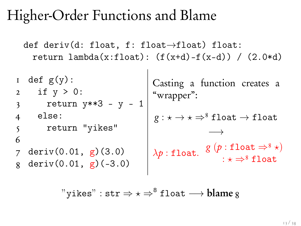## Higher-Order Functions and Blame

def deriv(d: float, f: float $\rightarrow$ float) float: return lambda(x:float):  $(f(x+d)-f(x-d))$  /  $(2.0*d)$ 

 $1$  def  $g(y)$ : 2 if y > 0: 3 return y\*\*3 - y - 1 4 else: 5 return "yikes" 6 7 deriv(0.01, g)(3.0) 8 deriv(0.01, g)(-3.0) Casting a function creates a "wrapper":  $g : \star \to \star \Rightarrow^8 \texttt{float} \to \texttt{float}$  $\longrightarrow$  $\lambda p: \texttt{float.} \begin{array}{c} g(p:\texttt{float} \Rightarrow^8 \star) \\ \vdots \\ g(p:\texttt{float} \Rightarrow^8 \star) \end{array}$  $: \star \Rightarrow^8 \texttt{float}$ 

"yikes" : str  $\Rightarrow \star \Rightarrow^8$  float  $\longrightarrow$  blame g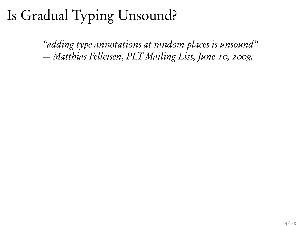*"adding type annotations at random places is unsound" — Matthias Felleisen, PLT Mailing List, June 10, 2008.*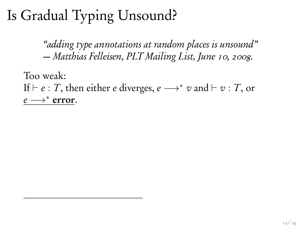*"adding type annotations at random places is unsound" — Matthias Felleisen, PLT Mailing List, June 10, 2008.*

Too weak: If  $\vdash$  *e* : *T*, then either *e* diverges, *e*  $\longrightarrow^* v$  and  $\vdash v$  : *T*, or  $e \longrightarrow^*$  error.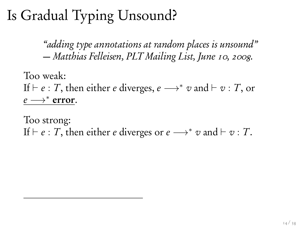*"adding type annotations at random places is unsound" — Matthias Felleisen, PLT Mailing List, June 10, 2008.*

Too weak: If  $\vdash$  *e* : *T*, then either *e* diverges, *e*  $\longrightarrow^* v$  and  $\vdash v$  : *T*, or  $e \longrightarrow^*$  error.

Too strong: If  $\vdash$  *e* : *T*, then either *e* diverges or *e*  $\longrightarrow^* v$  and  $\vdash v : T$ .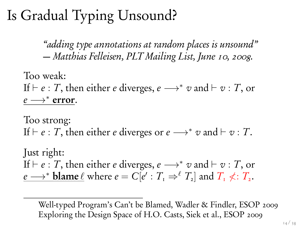*"adding type annotations at random places is unsound" — Matthias Felleisen, PLT Mailing List, June 10, 2008.*

Too weak: If  $\vdash$  *e* : *T*, then either *e* diverges, *e*  $\longrightarrow^* v$  and  $\vdash v$  : *T*, or  $e \longrightarrow^*$  error.

Too strong: If  $\vdash$  *e* : *T*, then either *e* diverges or *e*  $\longrightarrow^* v$  and  $\vdash v : T$ .

Just right: If  $\vdash$  *e* : *T*, then either *e* diverges, *e*  $\longrightarrow^* v$  and  $\vdash v$  : *T*, or  $e \longrightarrow^*$  **blame**  $\ell$  where  $e = C[e': T] \Rightarrow^{\ell} T$ , and  $T \nless \ell : T$ .

3Well-typed Program's Can't be Blamed, Wadler & Findler, ESOP 2009 Exploring the Design Space of H.O. Casts, Siek et al., ESOP 2009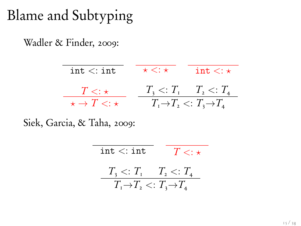## Blame and Subtyping

Wadler & Finder, 2009:

| $\text{int} <: \text{int}$             | $\star < : \star$ | int $\lt$ : $\star$                                                                 |
|----------------------------------------|-------------------|-------------------------------------------------------------------------------------|
| $T<:\star$<br>$\star \to T \lt: \star$ |                   | $T_3 \leq T_1 \quad T_2 \leq T_4$<br>$T_1 \rightarrow T_2 \leq T_3 \rightarrow T_4$ |

Siek, Garcia, & Taha, 2009:

| int <: int                                             | $T \lt: \pm$ |
|--------------------------------------------------------|--------------|
| $T_{\rm a} < T_{\rm I}$ $T_{\rm a} < T_{\rm a}$        |              |
| $T_{1} \rightarrow T_{2} \leq T_{3} \rightarrow T_{4}$ |              |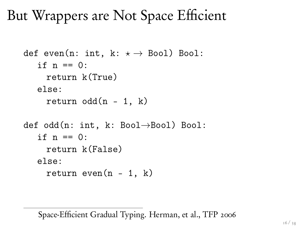But Wrappers are Not Space Efficient

```
def even(n: int, k: \star \rightarrow Bool) Bool:
   if n == 0:
     return k(True)
   else:
     return odd(n - 1, k)def odd(n: int, k: Bool\rightarrowBool) Bool:
   if n == 0:
     return k(False)
   else:
     return even(n - 1, k)
```
5Space-Efficient Gradual Typing. Herman, et al., TFP 2006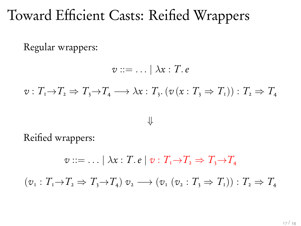## Toward Efficient Casts: Reified Wrappers

Regular wrappers:

 $v ::= \ldots \mid \lambda x : T.e$  $v: T_{1} \rightarrow T_{2} \Rightarrow T_{3} \rightarrow T_{4} \longrightarrow \lambda x: T_{3} (v(x: T_{3} \Rightarrow T_{1})) : T_{2} \Rightarrow T_{4}$  $\downarrow$ 

Reified wrappers:

 $v ::= \ldots | \lambda x : T \cdot e | v : T_{1} \rightarrow T_{2} \Rightarrow T_{3} \rightarrow T_{4}$  $(v_1 : T_1 \rightarrow T_2 \Rightarrow T_2 \rightarrow T_4)$   $v_2 \rightarrow (v_1 (v_2 : T_3 \Rightarrow T_4)) : T_2 \Rightarrow T_4$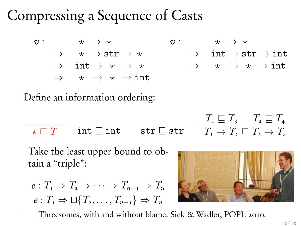## Compressing a Sequence of Casts6

 $v: \qquad \star \to \star$  $\Rightarrow$   $\star \rightarrow$  str  $\rightarrow \star$  $\Rightarrow$  int  $\rightarrow \star \rightarrow \star$  $\Rightarrow$   $\star \rightarrow \star \rightarrow \text{int}$  $v:$   $\forall x \leftrightarrow x$ <br> $\Rightarrow$   $\text{int} \rightarrow \text{s}$  $\Rightarrow$  int  $\rightarrow$  str  $\rightarrow$  int<br> $\Rightarrow$   $\star$   $\rightarrow$   $\star$   $\rightarrow$  int  $\star \rightarrow \star \rightarrow \text{int}$ 

Define an information ordering:

$$
\frac{}{\star \sqsubseteq T} \quad \frac{}{\text{int }\sqsubseteq \text{int} \quad \text{str }\sqsubseteq \text{str} \quad T_{1} \sqsubseteq T_{3} \quad T_{2} \sqsubseteq T_{4} \quad}
$$

Take the least upper bound to obtain a "triple":

$$
e: T_1 \Rightarrow T_2 \Rightarrow \cdots \Rightarrow T_{n-1} \Rightarrow T_n
$$

$$
e: T_1 \Rightarrow \sqcup \{T_2, \ldots, T_{n-1}\} \Rightarrow T_n
$$



Threesomes, with and without blame. Siek & Wadler, POPL 2010.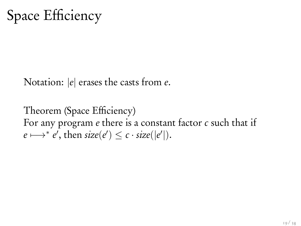Space Efficiency

Notation: *|e|* erases the casts from *e*.

Theorem (Space Efficiency) For any program *e* there is a constant factor *c* such that if  $e \longmapsto^* e'$ , then  $size(e') \leq c \cdot size(|e'|)$ .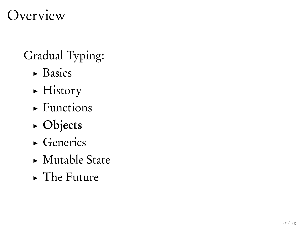## Overview

## Gradual Typing:

- $\triangleright$  Basics
- $\blacktriangleright$  History
- $\blacktriangleright$  Functions
- $\triangleright$  Objects
- $\triangleright$  Generics
- $\blacktriangleright$  Mutable State
- $\blacktriangleright$  The Future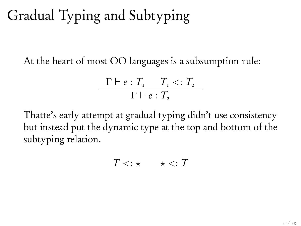## Gradual Typing and Subtyping

At the heart of most OO languages is a subsumption rule:

$$
\frac{\Gamma \vdash e : T_1 \quad T_1 <: T_2}{\Gamma \vdash e : T_2}
$$

Thatte's early attempt at gradual typing didn't use consistency but instead put the dynamic type at the top and bottom of the subtyping relation.

$$
T<:\star\qquad \star<:T
$$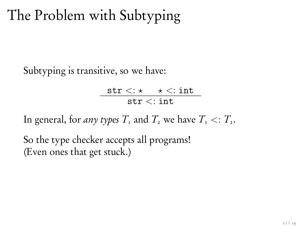## The Problem with Subtyping

Subtyping is transitive, so we have:

$$
\frac{\texttt{str} < \div \times \div \div \texttt{int}}{\texttt{str} < \div \texttt{int}}
$$

In general, for *any types*  $T_1$  and  $T_2$  we have  $T_1 \leq T_2$ .

So the type checker accepts all programs! (Even ones that get stuck.)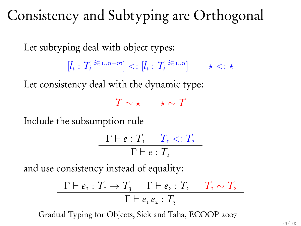## Consistency and Subtyping are Orthogonal

Let subtyping deal with object types:

 $[k_i : T_i \stackrel{i \in 1..n+m}{\sim}] \lt: [l_i : T_i \stackrel{i \in 1..n}{\sim}] \qquad \star \lt: \star$ 

Let consistency deal with the dynamic type:

 $T \sim \star$   $\star \sim T$ 

Include the subsumption rule

$$
\frac{\Gamma \vdash e : T_1 \quad T_1 <: T_2}{\Gamma \vdash e : T_2}
$$

and use consistency instead of equality:

$$
\frac{\Gamma \vdash e_{1} : T_{1} \to T_{3} \qquad \Gamma \vdash e_{2} : T_{2} \qquad T_{1} \sim T_{2}}{\Gamma \vdash e_{1} e_{2} : T_{3}}
$$

7Gradual Typing for Objects, Siek and Taha, ECOOP 2007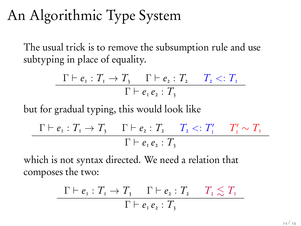## An Algorithmic Type System

The usual trick is to remove the subsumption rule and use subtyping in place of equality.

$$
\frac{\Gamma \vdash e_{\scriptscriptstyle 1}: T_{\scriptscriptstyle 1} \rightarrow T_{\scriptscriptstyle 3}}{\Gamma \vdash e_{\scriptscriptstyle 1} e_{\scriptscriptstyle 2}: T_{\scriptscriptstyle 3}} \quad T_{\scriptscriptstyle 2} <: T_{\scriptscriptstyle 1} \n\frac{\Gamma \vdash e_{\scriptscriptstyle 1} e_{\scriptscriptstyle 2}: T_{\scriptscriptstyle 3}}{\Gamma \vdash e_{\scriptscriptstyle 1} e_{\scriptscriptstyle 2}: T_{\scriptscriptstyle 3}}
$$

but for gradual typing, this would look like

$$
\frac{\Gamma \vdash e_{\scriptscriptstyle{1}} : T_{\scriptscriptstyle{1}} \to T_{\scriptscriptstyle{3}} \qquad \Gamma \vdash e_{\scriptscriptstyle{2}} : T_{\scriptscriptstyle{2}} \qquad T_{\scriptscriptstyle{2}} <: T_{\scriptscriptstyle{1}}' \qquad T_{\scriptscriptstyle{1}}' \sim T_{\scriptscriptstyle{1}}}{\Gamma \vdash e_{\scriptscriptstyle{1}} e_{\scriptscriptstyle{2}} : T_{\scriptscriptstyle{3}}}
$$

which is not syntax directed. We need a relation that composes the two:

$$
\frac{\Gamma \vdash e_{\scriptscriptstyle{1}} : T_{\scriptscriptstyle{1}} \to T_{\scriptscriptstyle{3}} \qquad \Gamma \vdash e_{\scriptscriptstyle{2}} : T_{\scriptscriptstyle{2}} \quad T_{\scriptscriptstyle{2}} \lesssim T_{\scriptscriptstyle{1}}}{\Gamma \vdash e_{\scriptscriptstyle{1}} e_{\scriptscriptstyle{2}} : T_{\scriptscriptstyle{3}}}
$$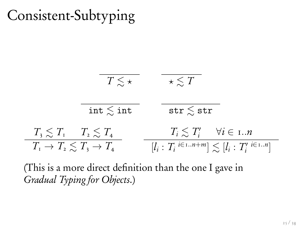## Consistent-Subtyping

$$
\begin{array}{c|c}\n\hline\n\overline{T \lesssim \star} & \overline{\star \lesssim T} \\
\hline\n\text{int} \lesssim \text{int} & \text{str} \lesssim \text{str} \\
\hline\nT_3 \lesssim T_1 & T_2 \lesssim T_4 & T_i \lesssim T'_i & \forall i \in 1..n \\
\hline\nT_1 \rightarrow T_2 \lesssim T_3 \rightarrow T_4 & [l_i : T_i \stackrel{i \in 1..n+m}{}] \lesssim [l_i : T'_i \stackrel{i \in 1..n}{}] \\
\hline\n\end{array}
$$

(This is a more direct definition than the one I gave in *Gradual Typing for Objects*.)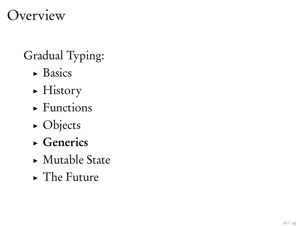## Overview

## Gradual Typing:

- $\triangleright$  Basics
- $\blacktriangleright$  History
- $\blacktriangleright$  Functions
- $\triangleright$  Objects
- $\triangleright$  Generics
- $\blacktriangleright$  Mutable State
- $\blacktriangleright$  The Future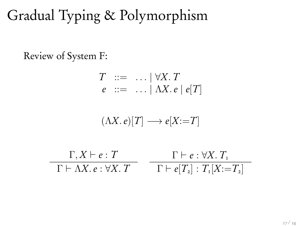# Gradual Typing & Polymorphism

Review of System F:

$$
T ::= ... | \forall X.\,T
$$
  

$$
e ::= ... | \Lambda X.\,e | e[T]
$$

$$
(\Lambda X.\,e)[T] \longrightarrow e[X\!:=\!T]
$$

$$
\frac{\Gamma, X \vdash e : T}{\Gamma \vdash \Lambda X. e : \forall X. T} \quad \frac{\Gamma \vdash e : \forall X. T_{\mathfrak{r}}}{\Gamma \vdash e[T_{2}] : T_{\mathfrak{r}}[X := T_{2}]}
$$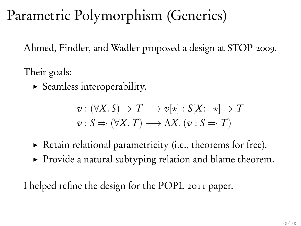## Parametric Polymorphism (Generics)

Ahmed, Findler, and Wadler proposed a design at STOP 2009.

Their goals:

 $\blacktriangleright$  Seamless interoperability.

$$
v : (\forall X. S) \Rightarrow T \longrightarrow v[\star] : S[X:=\star] \Rightarrow T
$$
  

$$
v : S \Rightarrow (\forall X. T) \longrightarrow \Lambda X. (v : S \Rightarrow T)
$$

- $\triangleright$  Retain relational parametricity (i.e., theorems for free).
- $\triangleright$  Provide a natural subtyping relation and blame theorem.

I helped refine the design for the POPL 2011 paper.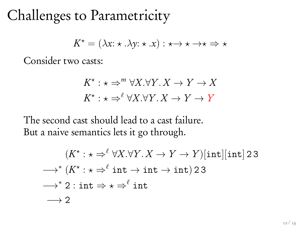## Challenges to Parametricity

$$
K^{\star} = (\lambda x : \star \cdot \lambda y : \star \cdot x) : \star \to \star \to \star \Rightarrow \star
$$

Consider two casts:

$$
K^* : \star \Rightarrow^m \forall X. \forall Y. X \to Y \to X
$$

$$
K^* : \star \Rightarrow^{\ell} \forall X. \forall Y. X \to Y \to Y
$$

The second cast should lead to a cast failure. But a naive semantics lets it go through.

$$
(K^* : \star \Rightarrow^{\ell} \forall X. \forall Y. X \to Y \to Y)[\text{int}][\text{int}] 23
$$
  
\n
$$
\longrightarrow^* (K^* : \star \Rightarrow^{\ell} \text{int} \to \text{int} \to \text{int}) 23
$$
  
\n
$$
\longrightarrow^* 2 : \text{int} \Rightarrow \star \Rightarrow^{\ell} \text{int}
$$
  
\n
$$
\longrightarrow 2
$$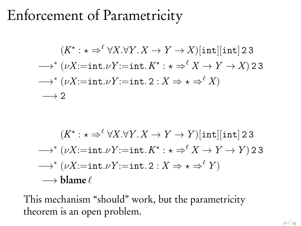## Enforcement of Parametricity

$$
(K^* : \star \Rightarrow^{\ell} \forall X. \forall Y. X \to Y \to X)[\text{int}][\text{int}] 2 3
$$
  
\n
$$
\longrightarrow^* (\nu X := \text{int.} \nu Y := \text{int.} K^* : \star \Rightarrow^{\ell} X \to Y \to X) 2 3
$$
  
\n
$$
\longrightarrow^* (\nu X := \text{int.} \nu Y := \text{int.} 2 : X \to \star \Rightarrow^{\ell} X)
$$
  
\n
$$
\longrightarrow 2
$$

$$
(K^* : \star \Rightarrow^{\ell} \forall X. \forall Y. X \to Y \to Y)[\text{int}][\text{int}] 2 3
$$
  
\n
$$
\longrightarrow^* (\nu X := \text{int.} \nu Y := \text{int.} K^* : \star \Rightarrow^{\ell} X \to Y \to Y) 2 3
$$
  
\n
$$
\longrightarrow^* (\nu X := \text{int.} \nu Y := \text{int.} 2 : X \Rightarrow \star \Rightarrow^{\ell} Y)
$$
  
\n
$$
\longrightarrow \text{blame } \ell
$$

This mechanism "should" work, but the parametricity theorem is an open problem.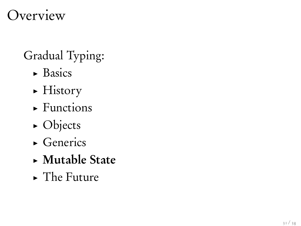## Overview

## Gradual Typing:

- $\triangleright$  Basics
- $\blacktriangleright$  History
- $\blacktriangleright$  Functions
- $\triangleright$  Objects
- $\triangleright$  Generics
- $\triangleright$  Mutable State
- $\blacktriangleright$  The Future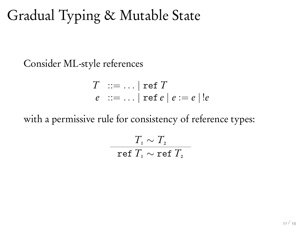## Gradual Typing & Mutable State

Consider ML-style references

$$
T \quad ::= \dots \mid \text{ref } T
$$
\n
$$
e \quad ::= \dots \mid \text{ref } e \mid e := e \mid !e
$$

with a permissive rule for consistency of reference types:

$$
\frac{T_{\rm r} \sim T_{\rm r}}{\rm ref} \, T_{\rm r} \sim {\rm ref} \, T_{\rm r}
$$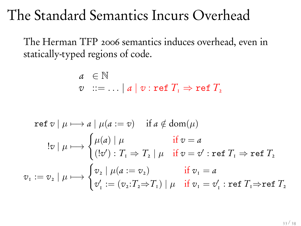## The Standard Semantics Incurs Overhead

The Herman TFP 2006 semantics induces overhead, even in statically-typed regions of code.

$$
a \in \mathbb{N}
$$
  
 $v ::= ... | a | v : \text{ref } T_1 \Rightarrow \text{ref } T_2$ 

ref 
$$
v \mid \mu \longmapsto a \mid \mu(a := v)
$$
 if  $a \notin \text{dom}(\mu)$   
\n
$$
\vdots v \mid \mu \longmapsto \begin{cases} \mu(a) \mid \mu & \text{if } v = a \\ (\exists v') : T_1 \Rightarrow T_2 \mid \mu & \text{if } v = v' : \text{ref } T_1 \Rightarrow \text{ref } T_2 \end{cases}
$$
\n
$$
v_1 := v_2 \mid \mu \longmapsto \begin{cases} v_2 \mid \mu(a := v_2) & \text{if } v_1 = a \\ v'_1 := (v_2 : T_2 \Rightarrow T_1) \mid \mu & \text{if } v_1 = v'_1 : \text{ref } T_1 \Rightarrow \text{ref } T_2 \end{cases}
$$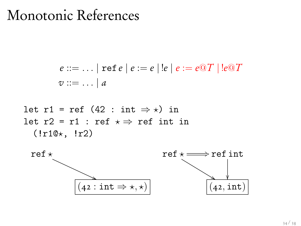#### Monotonic References

$$
e ::= \dots | \text{ ref } e | e := e | !e | e := e \textcirc T | !e \textcirc T
$$
  
 $v ::= \dots | a$ 

let r1 = ref (42 : int 
$$
\Rightarrow
$$
 x) in  
let r2 = r1 : ref  $\times \Rightarrow$  ref int in  
(!r1@x, !r2)

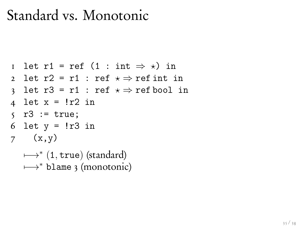## Standard vs. Monotonic

```
1 let r1 = ref (1 : int \Rightarrow \star) in
2 let r2 = r1 : ref \star \Rightarrow ref int in
3 let r3 = r1 : ref \star \Rightarrow ref bool in
4 let x = 1r2 in
```

```
5 \t T3 := true;
```

```
6 let y = !r3 in
```

```
7(x,y)
```
 $\mapsto^*$  (1, true) (standard)  $\mapsto^*$  blame 3 (monotonic)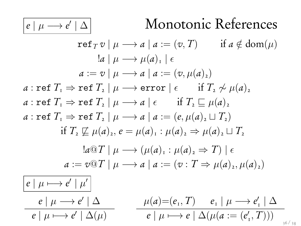#### $e | \mu \rightarrow e' | \Delta$ <sup>0</sup> *<sup>|</sup>* Monotonic References

ref<sub>T</sub> v | 
$$
\mu \rightarrow a
$$
 |  $a := (v, T)$  if  $a \notin \text{dom}(\mu)$   
\n
$$
|a \mid \mu \rightarrow \mu(a)_1 \mid \epsilon
$$
\n
$$
a := v \mid \mu \rightarrow a \mid a := (v, \mu(a)_2)
$$
\n
$$
a : \text{ref } T_1 \Rightarrow \text{ref } T_2 \mid \mu \rightarrow \text{error} \mid \epsilon \quad \text{if } T_2 \not\sim \mu(a)_2
$$
\n
$$
a : \text{ref } T_1 \Rightarrow \text{ref } T_2 \mid \mu \rightarrow a \mid \epsilon \quad \text{if } T_2 \sqsubseteq \mu(a)_2
$$
\n
$$
a : \text{ref } T_1 \Rightarrow \text{ref } T_2 \mid \mu \rightarrow a \mid \epsilon \quad \text{if } T_2 \sqsubseteq \mu(a)_2
$$
\n
$$
\text{if } T_2 \not\models \mu(a)_2, e = \mu(a)_1 : \mu(a)_2 \Rightarrow \mu(a)_2 \sqcup T_2
$$
\n
$$
= \text{log}T \mid \mu \rightarrow (\mu(a)_1 : \mu(a)_2 \Rightarrow T) \mid \epsilon
$$
\n
$$
a := v \textcircled{T} \mid \mu \rightarrow a \mid a := (v : T \Rightarrow \mu(a)_2, \mu(a)_2)
$$
\n
$$
\boxed{e \mid \mu \rightarrow e' \mid \mu'}
$$
\n
$$
e \mid \mu \rightarrow e' \mid \Delta
$$
\n
$$
\boxed{e \mid \mu \rightarrow e' \mid \Delta(\mu)}
$$
\n
$$
\boxed{e \mid \mu \rightarrow e' \mid \Delta(\mu)}
$$
\n
$$
\boxed{e \mid \mu \rightarrow e' \mid \Delta(\mu)}
$$
\n
$$
\boxed{e \mid \mu \rightarrow e' \mid \Delta(\mu)}
$$
\n
$$
\boxed{e \mid \mu \rightarrow e' \mid \Delta(\mu)}
$$
\n
$$
\boxed{e \mid \mu \rightarrow e' \mid \Delta(\mu)}
$$
\n
$$
\boxed{e \mid \mu \rightarrow e' \mid \Delta(\mu)}
$$
\n
$$
\boxed{e \mid \mu \rightarrow e' \mid \Delta(\mu)}
$$
\n
$$
\boxed{e \mid \mu \rightarrow e' \mid \Delta(\mu)}
$$
\n
$$
\boxed{e \mid \mu \rightarrow e' \mid \Delta(\mu)}
$$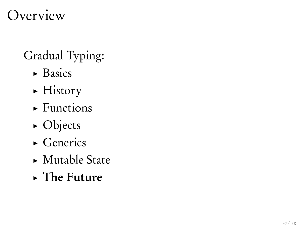## Overview

## Gradual Typing:

- $\triangleright$  Basics
- $\blacktriangleright$  History
- $\blacktriangleright$  Functions
- $\triangleright$  Objects
- $\triangleright$  Generics
- $\blacktriangleright$  Mutable State
- $\triangleright$  The Future